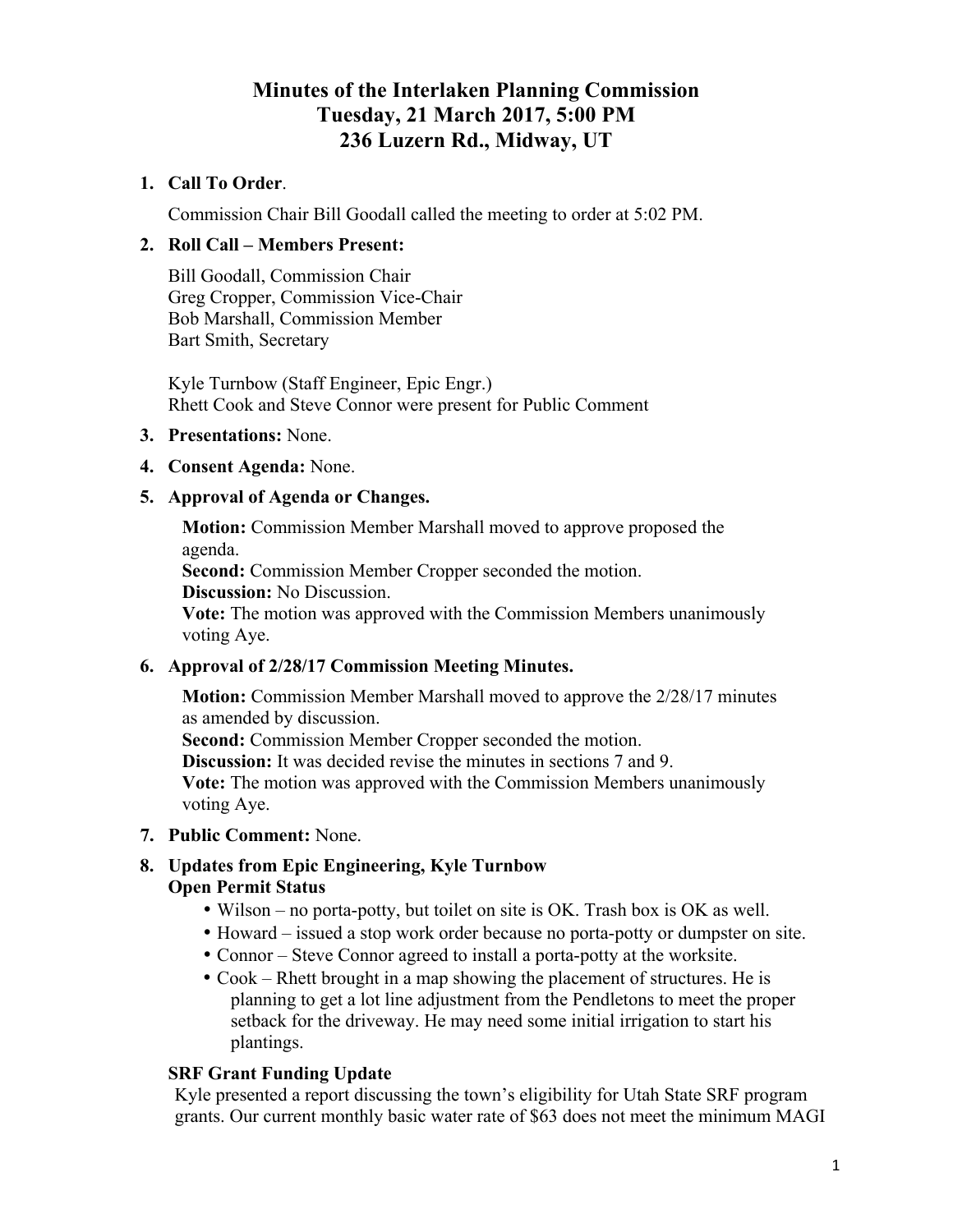# **Minutes of the Interlaken Planning Commission Tuesday, 21 March 2017, 5:00 PM 236 Luzern Rd., Midway, UT**

### **1. Call To Order**.

Commission Chair Bill Goodall called the meeting to order at 5:02 PM.

### **2. Roll Call – Members Present:**

Bill Goodall, Commission Chair Greg Cropper, Commission Vice-Chair Bob Marshall, Commission Member Bart Smith, Secretary

Kyle Turnbow (Staff Engineer, Epic Engr.) Rhett Cook and Steve Connor were present for Public Comment

- **3. Presentations:** None.
- **4. Consent Agenda:** None.

### **5. Approval of Agenda or Changes.**

**Motion:** Commission Member Marshall moved to approve proposed the agenda.

**Second:** Commission Member Cropper seconded the motion.

**Discussion:** No Discussion.

**Vote:** The motion was approved with the Commission Members unanimously voting Aye.

### **6. Approval of 2/28/17 Commission Meeting Minutes.**

**Motion:** Commission Member Marshall moved to approve the 2/28/17 minutes as amended by discussion.

**Second:** Commission Member Cropper seconded the motion.

**Discussion:** It was decided revise the minutes in sections 7 and 9. **Vote:** The motion was approved with the Commission Members unanimously voting Aye.

**7. Public Comment:** None.

## **8. Updates from Epic Engineering, Kyle Turnbow Open Permit Status**

- Wilson no porta-potty, but toilet on site is OK. Trash box is OK as well.
- Howard issued a stop work order because no porta-potty or dumpster on site.
- Connor Steve Connor agreed to install a porta-potty at the worksite.
- Cook Rhett brought in a map showing the placement of structures. He is planning to get a lot line adjustment from the Pendletons to meet the proper setback for the driveway. He may need some initial irrigation to start his plantings.

### **SRF Grant Funding Update**

Kyle presented a report discussing the town's eligibility for Utah State SRF program grants. Our current monthly basic water rate of \$63 does not meet the minimum MAGI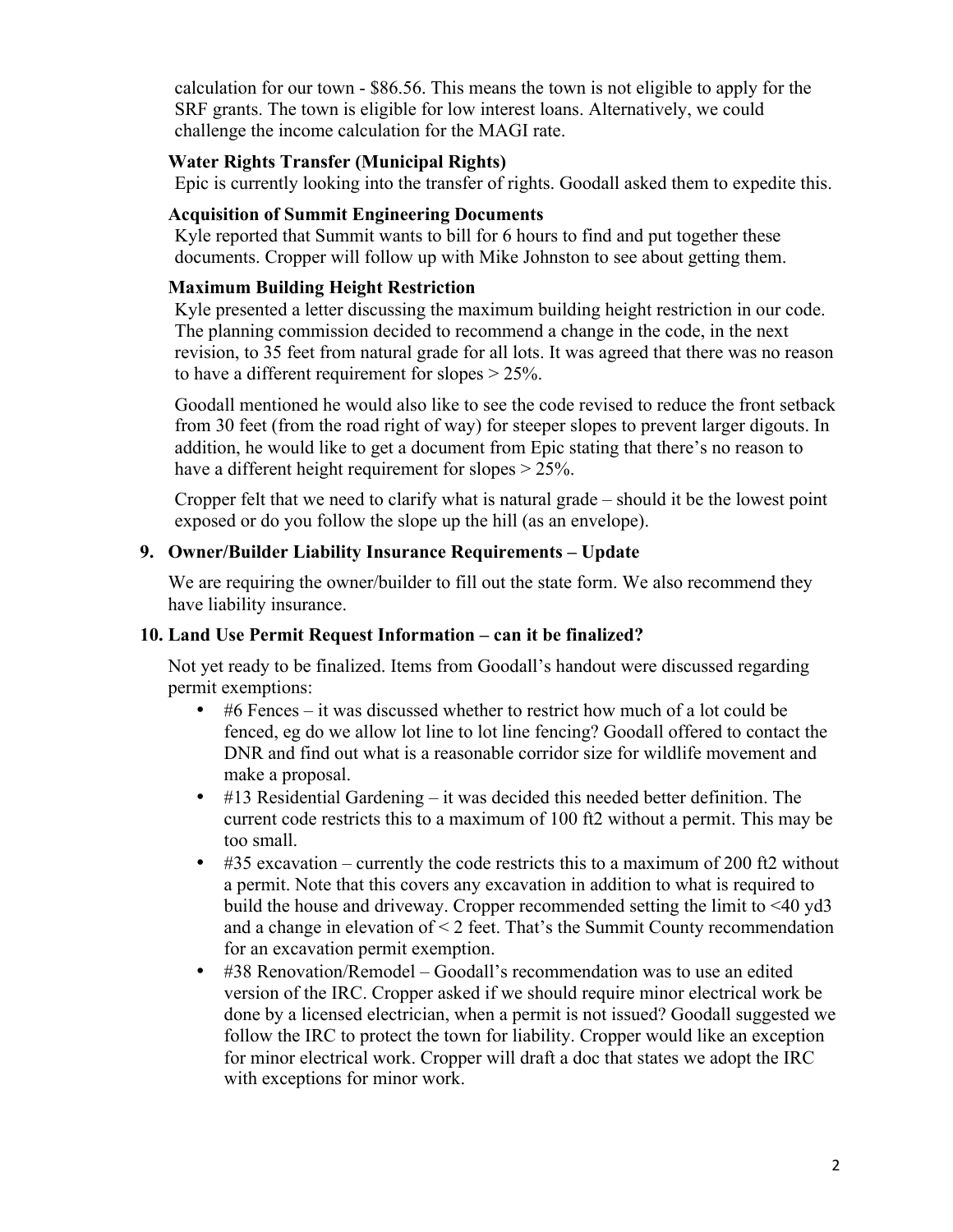calculation for our town - \$86.56. This means the town is not eligible to apply for the SRF grants. The town is eligible for low interest loans. Alternatively, we could challenge the income calculation for the MAGI rate.

### **Water Rights Transfer (Municipal Rights)**

Epic is currently looking into the transfer of rights. Goodall asked them to expedite this.

#### **Acquisition of Summit Engineering Documents**

Kyle reported that Summit wants to bill for 6 hours to find and put together these documents. Cropper will follow up with Mike Johnston to see about getting them.

### **Maximum Building Height Restriction**

Kyle presented a letter discussing the maximum building height restriction in our code. The planning commission decided to recommend a change in the code, in the next revision, to 35 feet from natural grade for all lots. It was agreed that there was no reason to have a different requirement for slopes > 25%.

Goodall mentioned he would also like to see the code revised to reduce the front setback from 30 feet (from the road right of way) for steeper slopes to prevent larger digouts. In addition, he would like to get a document from Epic stating that there's no reason to have a different height requirement for slopes  $> 25\%$ .

Cropper felt that we need to clarify what is natural grade – should it be the lowest point exposed or do you follow the slope up the hill (as an envelope).

### **9. Owner/Builder Liability Insurance Requirements – Update**

We are requiring the owner/builder to fill out the state form. We also recommend they have liability insurance.

#### **10. Land Use Permit Request Information – can it be finalized?**

Not yet ready to be finalized. Items from Goodall's handout were discussed regarding permit exemptions:

- #6 Fences it was discussed whether to restrict how much of a lot could be fenced, eg do we allow lot line to lot line fencing? Goodall offered to contact the DNR and find out what is a reasonable corridor size for wildlife movement and make a proposal.
- #13 Residential Gardening it was decided this needed better definition. The current code restricts this to a maximum of 100 ft2 without a permit. This may be too small.
- #35 excavation currently the code restricts this to a maximum of 200 ft2 without a permit. Note that this covers any excavation in addition to what is required to build the house and driveway. Cropper recommended setting the limit to <40 yd3 and a change in elevation of  $\leq 2$  feet. That's the Summit County recommendation for an excavation permit exemption.
- #38 Renovation/Remodel Goodall's recommendation was to use an edited version of the IRC. Cropper asked if we should require minor electrical work be done by a licensed electrician, when a permit is not issued? Goodall suggested we follow the IRC to protect the town for liability. Cropper would like an exception for minor electrical work. Cropper will draft a doc that states we adopt the IRC with exceptions for minor work.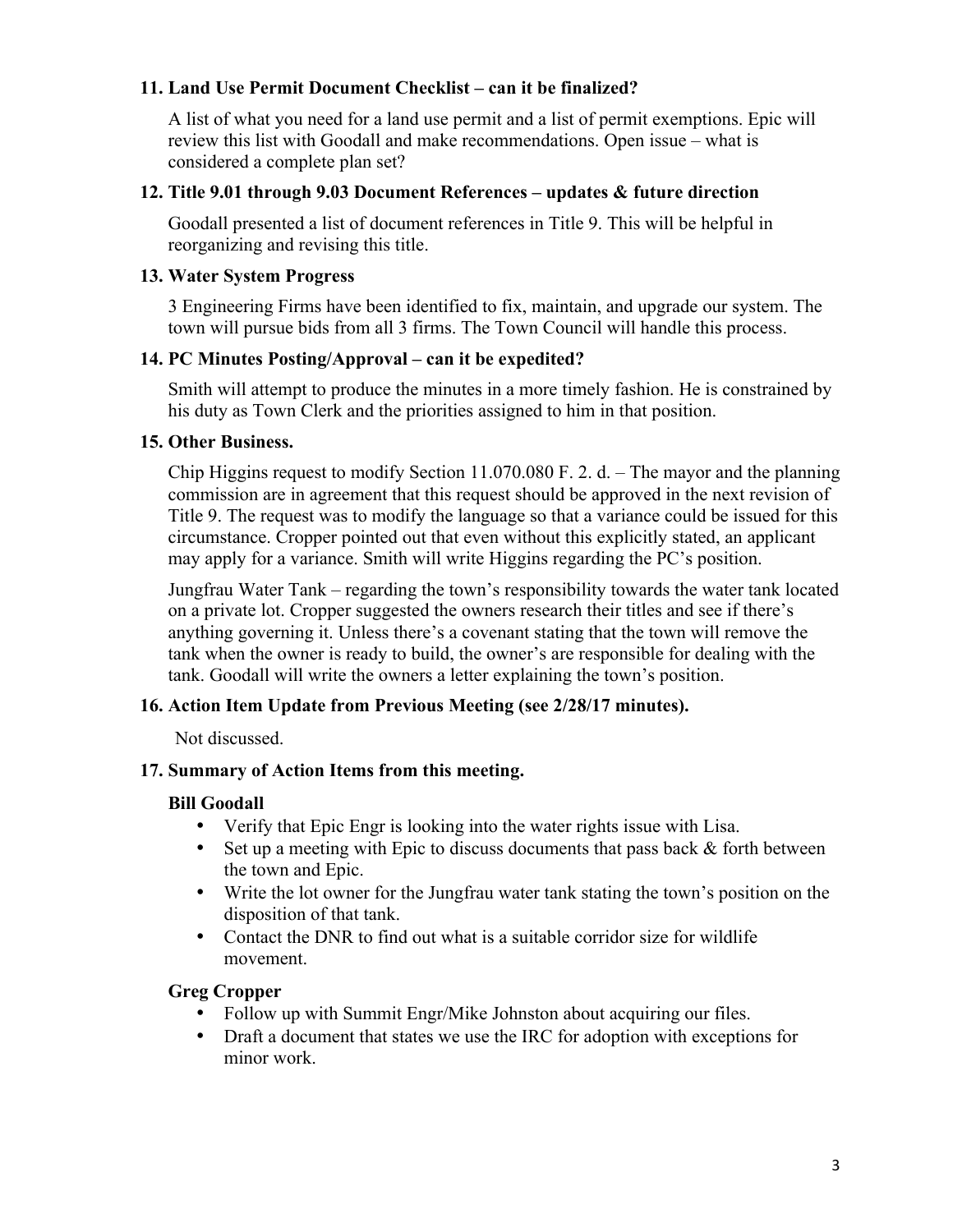### **11. Land Use Permit Document Checklist – can it be finalized?**

A list of what you need for a land use permit and a list of permit exemptions. Epic will review this list with Goodall and make recommendations. Open issue – what is considered a complete plan set?

#### **12. Title 9.01 through 9.03 Document References – updates & future direction**

Goodall presented a list of document references in Title 9. This will be helpful in reorganizing and revising this title.

#### **13. Water System Progress**

3 Engineering Firms have been identified to fix, maintain, and upgrade our system. The town will pursue bids from all 3 firms. The Town Council will handle this process.

### **14. PC Minutes Posting/Approval – can it be expedited?**

Smith will attempt to produce the minutes in a more timely fashion. He is constrained by his duty as Town Clerk and the priorities assigned to him in that position.

#### **15. Other Business.**

Chip Higgins request to modify Section 11.070.080 F. 2. d. – The mayor and the planning commission are in agreement that this request should be approved in the next revision of Title 9. The request was to modify the language so that a variance could be issued for this circumstance. Cropper pointed out that even without this explicitly stated, an applicant may apply for a variance. Smith will write Higgins regarding the PC's position.

Jungfrau Water Tank – regarding the town's responsibility towards the water tank located on a private lot. Cropper suggested the owners research their titles and see if there's anything governing it. Unless there's a covenant stating that the town will remove the tank when the owner is ready to build, the owner's are responsible for dealing with the tank. Goodall will write the owners a letter explaining the town's position.

### **16. Action Item Update from Previous Meeting (see 2/28/17 minutes).**

Not discussed.

### **17. Summary of Action Items from this meeting.**

### **Bill Goodall**

- Verify that Epic Engr is looking into the water rights issue with Lisa.
- Set up a meeting with Epic to discuss documents that pass back & forth between the town and Epic.
- Write the lot owner for the Jungfrau water tank stating the town's position on the disposition of that tank.
- Contact the DNR to find out what is a suitable corridor size for wildlife movement.

### **Greg Cropper**

- Follow up with Summit Engr/Mike Johnston about acquiring our files.
- Draft a document that states we use the IRC for adoption with exceptions for minor work.